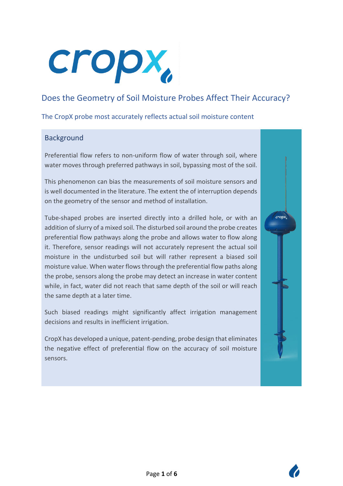# cropx,

# Does the Geometry of Soil Moisture Probes Affect Their Accuracy?

The CropX probe most accurately reflects actual soil moisture content

### Background

Preferential flow refers to non-uniform flow of water through soil, where water moves through preferred pathways in soil, bypassing most of the soil.

This phenomenon can bias the measurements of soil moisture sensors and is well documented in the literature. The extent the of interruption depends on the geometry of the sensor and method of installation.

Tube-shaped probes are inserted directly into a drilled hole, or with an addition of slurry of a mixed soil. The disturbed soil around the probe creates preferential flow pathways along the probe and allows water to flow along it. Therefore, sensor readings will not accurately represent the actual soil moisture in the undisturbed soil but will rather represent a biased soil moisture value. When water flows through the preferential flow paths along the probe, sensors along the probe may detect an increase in water content while, in fact, water did not reach that same depth of the soil or will reach the same depth at a later time.

Such biased readings might significantly affect irrigation management decisions and results in inefficient irrigation.

CropX has developed a unique, patent-pending, probe design that eliminates the negative effect of preferential flow on the accuracy of soil moisture sensors.



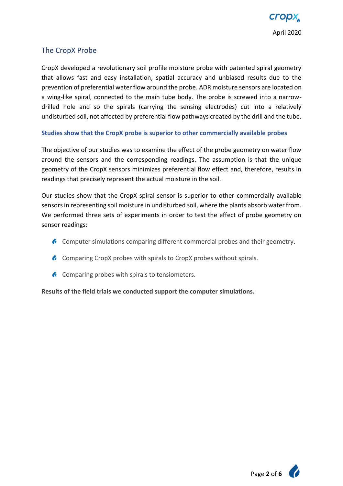# The CropX Probe

CropX developed a revolutionary soil profile moisture probe with patented spiral geometry that allows fast and easy installation, spatial accuracy and unbiased results due to the prevention of preferential water flow around the probe. ADR moisture sensors are located on a wing-like spiral, connected to the main tube body. The probe is screwed into a narrowdrilled hole and so the spirals (carrying the sensing electrodes) cut into a relatively undisturbed soil, not affected by preferential flow pathways created by the drill and the tube.

#### **Studies show that the CropX probe is superior to other commercially available probes**

The objective of our studies was to examine the effect of the probe geometry on water flow around the sensors and the corresponding readings. The assumption is that the unique geometry of the CropX sensors minimizes preferential flow effect and, therefore, results in readings that precisely represent the actual moisture in the soil.

Our studies show that the CropX spiral sensor is superior to other commercially available sensors in representing soil moisture in undisturbed soil, where the plants absorb water from. We performed three sets of experiments in order to test the effect of probe geometry on sensor readings:

- **Computer simulations comparing different commercial probes and their geometry.**
- **Comparing CropX probes with spirals to CropX probes without spirals.**
- **Comparing probes with spirals to tensiometers.**

**Results of the field trials we conducted support the computer simulations.**

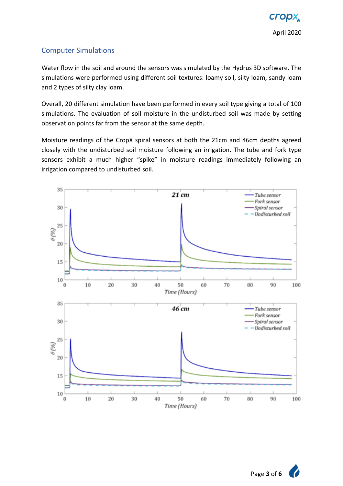# Computer Simulations

Water flow in the soil and around the sensors was simulated by the Hydrus 3D software. The simulations were performed using different soil textures: loamy soil, silty loam, sandy loam and 2 types of silty clay loam.

Overall, 20 different simulation have been performed in every soil type giving a total of 100 simulations. The evaluation of soil moisture in the undisturbed soil was made by setting observation points far from the sensor at the same depth.

Moisture readings of the CropX spiral sensors at both the 21cm and 46cm depths agreed closely with the undisturbed soil moisture following an irrigation. The tube and fork type sensors exhibit a much higher "spike" in moisture readings immediately following an irrigation compared to undisturbed soil.

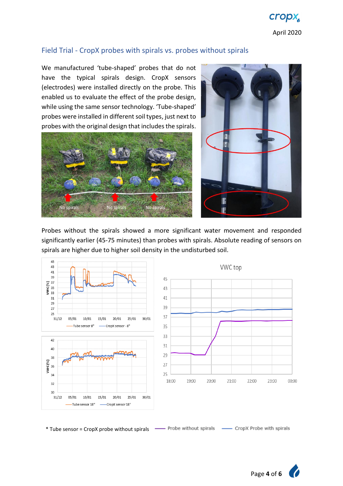

#### Field Trial - CropX probes with spirals vs. probes without spirals

We manufactured 'tube-shaped' probes that do not have the typical spirals design. CropX sensors (electrodes) were installed directly on the probe. This enabled us to evaluate the effect of the probe design, while using the same sensor technology. 'Tube-shaped' probes were installed in different soil types, just next to probes with the original design that includes the spirals.





Probes without the spirals showed a more significant water movement and responded significantly earlier (45-75 minutes) than probes with spirals. Absolute reading of sensors on spirals are higher due to higher soil density in the undisturbed soil.



\* Tube sensor = CropX probe without spirals- CropX Probe with spirals

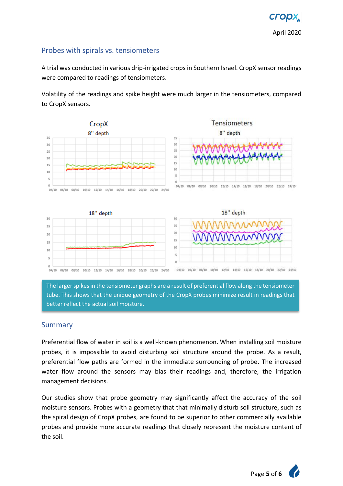#### Probes with spirals vs. tensiometers

A trial was conducted in various drip-irrigated crops in Southern Israel. CropX sensor readings were compared to readings of tensiometers.

Volatility of the readings and spike height were much larger in the tensiometers, compared to CropX sensors.



The larger spikes in the tensiometer graphs are a result of preferential flow along the tensiometer tube. This shows that the unique geometry of the CropX probes minimize result in readings that better reflect the actual soil moisture.

#### Summary

Preferential flow of water in soil is a well-known phenomenon. When installing soil moisture probes, it is impossible to avoid disturbing soil structure around the probe. As a result, preferential flow paths are formed in the immediate surrounding of probe. The increased water flow around the sensors may bias their readings and, therefore, the irrigation management decisions.

Our studies show that probe geometry may significantly affect the accuracy of the soil moisture sensors. Probes with a geometry that that minimally disturb soil structure, such as the spiral design of CropX probes, are found to be superior to other commercially available probes and provide more accurate readings that closely represent the moisture content of the soil.